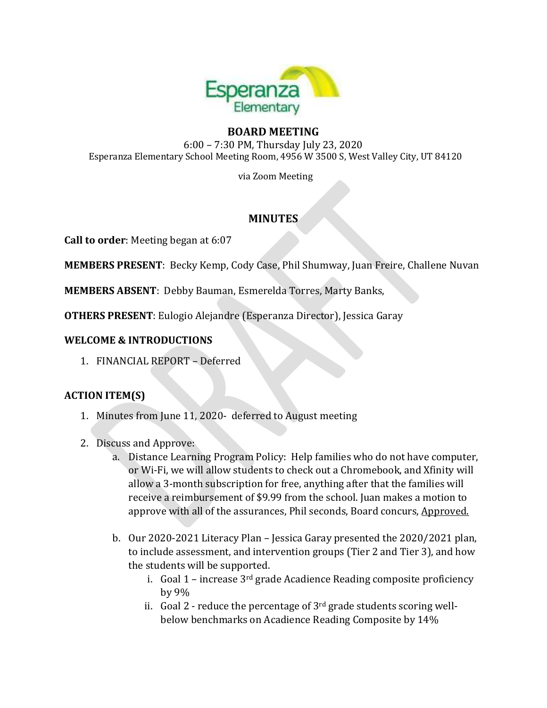

## **BOARD MEETING**

6:00 – 7:30 PM, Thursday July 23, 2020 Esperanza Elementary School Meeting Room, 4956 W 3500 S, West Valley City, UT 84120

via Zoom Meeting

# **MINUTES**

**Call to order**: Meeting began at 6:07

**MEMBERS PRESENT**: Becky Kemp, Cody Case, Phil Shumway, Juan Freire, Challene Nuvan

**MEMBERS ABSENT**: Debby Bauman, Esmerelda Torres, Marty Banks,

**OTHERS PRESENT**: Eulogio Alejandre (Esperanza Director), Jessica Garay

#### **WELCOME & INTRODUCTIONS**

1. FINANCIAL REPORT – Deferred

#### **ACTION ITEM(S)**

- 1. Minutes from June 11, 2020- deferred to August meeting
- 2. Discuss and Approve:
	- a. Distance Learning Program Policy: Help families who do not have computer, or Wi-Fi, we will allow students to check out a Chromebook, and Xfinity will allow a 3-month subscription for free, anything after that the families will receive a reimbursement of \$9.99 from the school. Juan makes a motion to approve with all of the assurances, Phil seconds, Board concurs, Approved.
	- b. Our 2020-2021 Literacy Plan Jessica Garay presented the 2020/2021 plan, to include assessment, and intervention groups (Tier 2 and Tier 3), and how the students will be supported.
		- i. Goal  $1$  increase  $3<sup>rd</sup>$  grade Acadience Reading composite proficiency by 9%
		- ii. Goal  $2$  reduce the percentage of  $3<sup>rd</sup>$  grade students scoring wellbelow benchmarks on Acadience Reading Composite by 14%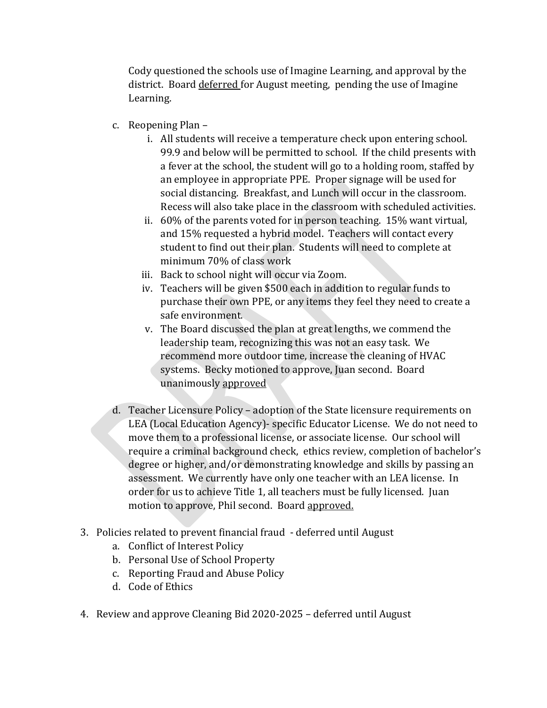Cody questioned the schools use of Imagine Learning, and approval by the district. Board deferred for August meeting, pending the use of Imagine Learning.

- c. Reopening Plan
	- i. All students will receive a temperature check upon entering school. 99.9 and below will be permitted to school. If the child presents with a fever at the school, the student will go to a holding room, staffed by an employee in appropriate PPE. Proper signage will be used for social distancing. Breakfast, and Lunch will occur in the classroom. Recess will also take place in the classroom with scheduled activities.
	- ii. 60% of the parents voted for in person teaching. 15% want virtual, and 15% requested a hybrid model. Teachers will contact every student to find out their plan. Students will need to complete at minimum 70% of class work
	- iii. Back to school night will occur via Zoom.
	- iv. Teachers will be given \$500 each in addition to regular funds to purchase their own PPE, or any items they feel they need to create a safe environment.
	- v. The Board discussed the plan at great lengths, we commend the leadership team, recognizing this was not an easy task. We recommend more outdoor time, increase the cleaning of HVAC systems. Becky motioned to approve, Juan second. Board unanimously approved
- d. Teacher Licensure Policy adoption of the State licensure requirements on LEA (Local Education Agency)- specific Educator License. We do not need to move them to a professional license, or associate license. Our school will require a criminal background check, ethics review, completion of bachelor's degree or higher, and/or demonstrating knowledge and skills by passing an assessment. We currently have only one teacher with an LEA license. In order for us to achieve Title 1, all teachers must be fully licensed. Juan motion to approve, Phil second. Board approved.
- 3. Policies related to prevent financial fraud deferred until August
	- a. Conflict of Interest Policy
	- b. Personal Use of School Property
	- c. Reporting Fraud and Abuse Policy
	- d. Code of Ethics
- 4. Review and approve Cleaning Bid 2020-2025 deferred until August